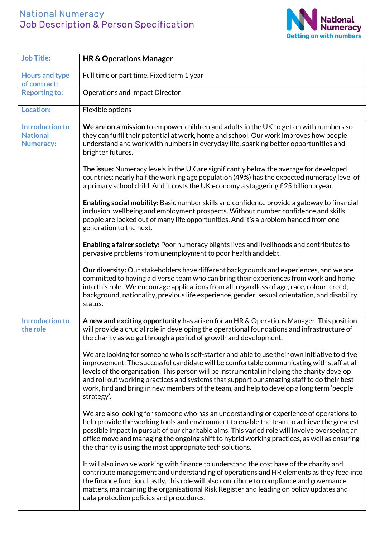## National Numeracy Job Description & Person Specification



| <b>Job Title:</b>                                             | <b>HR &amp; Operations Manager</b>                                                                                                                                                                                                                                                                                                                                                                                                                                                               |
|---------------------------------------------------------------|--------------------------------------------------------------------------------------------------------------------------------------------------------------------------------------------------------------------------------------------------------------------------------------------------------------------------------------------------------------------------------------------------------------------------------------------------------------------------------------------------|
| <b>Hours and type</b><br>of contract:                         | Full time or part time. Fixed term 1 year                                                                                                                                                                                                                                                                                                                                                                                                                                                        |
| <b>Reporting to:</b>                                          | <b>Operations and Impact Director</b>                                                                                                                                                                                                                                                                                                                                                                                                                                                            |
| <b>Location:</b>                                              | Flexible options                                                                                                                                                                                                                                                                                                                                                                                                                                                                                 |
| <b>Introduction to</b><br><b>National</b><br><b>Numeracy:</b> | We are on a mission to empower children and adults in the UK to get on with numbers so<br>they can fulfil their potential at work, home and school. Our work improves how people<br>understand and work with numbers in everyday life, sparking better opportunities and<br>brighter futures.                                                                                                                                                                                                    |
|                                                               | The issue: Numeracy levels in the UK are significantly below the average for developed<br>countries: nearly half the working age population (49%) has the expected numeracy level of<br>a primary school child. And it costs the UK economy a staggering £25 billion a year.                                                                                                                                                                                                                     |
|                                                               | Enabling social mobility: Basic number skills and confidence provide a gateway to financial<br>inclusion, wellbeing and employment prospects. Without number confidence and skills,<br>people are locked out of many life opportunities. And it's a problem handed from one<br>generation to the next.                                                                                                                                                                                           |
|                                                               | Enabling a fairer society: Poor numeracy blights lives and livelihoods and contributes to<br>pervasive problems from unemployment to poor health and debt.                                                                                                                                                                                                                                                                                                                                       |
|                                                               | Our diversity: Our stakeholders have different backgrounds and experiences, and we are<br>committed to having a diverse team who can bring their experiences from work and home<br>into this role. We encourage applications from all, regardless of age, race, colour, creed,<br>background, nationality, previous life experience, gender, sexual orientation, and disability<br>status.                                                                                                       |
| <b>Introduction to</b><br>the role                            | A new and exciting opportunity has arisen for an HR & Operations Manager. This position<br>will provide a crucial role in developing the operational foundations and infrastructure of<br>the charity as we go through a period of growth and development.                                                                                                                                                                                                                                       |
|                                                               | We are looking for someone who is self-starter and able to use their own initiative to drive<br>improvement. The successful candidate will be comfortable communicating with staff at all<br>levels of the organisation. This person will be instrumental in helping the charity develop<br>and roll out working practices and systems that support our amazing staff to do their best<br>work, find and bring in new members of the team, and help to develop a long term 'people<br>strategy'. |
|                                                               | We are also looking for someone who has an understanding or experience of operations to<br>help provide the working tools and environment to enable the team to achieve the greatest<br>possible impact in pursuit of our charitable aims. This varied role will involve overseeing an<br>office move and managing the ongoing shift to hybrid working practices, as well as ensuring<br>the charity is using the most appropriate tech solutions.                                               |
|                                                               | It will also involve working with finance to understand the cost base of the charity and<br>contribute management and understanding of operations and HR elements as they feed into<br>the finance function. Lastly, this role will also contribute to compliance and governance<br>matters, maintaining the organisational Risk Register and leading on policy updates and<br>data protection policies and procedures.                                                                          |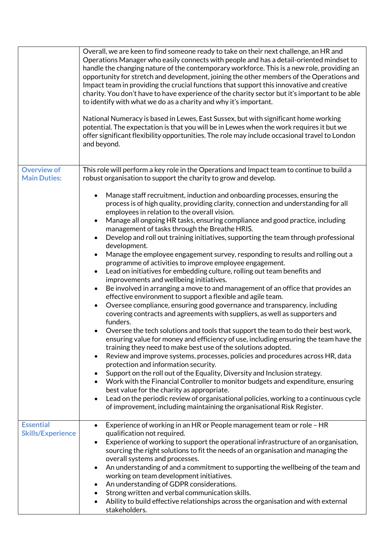|                          | Overall, we are keen to find someone ready to take on their next challenge, an HR and<br>Operations Manager who easily connects with people and has a detail-oriented mindset to<br>handle the changing nature of the contemporary workforce. This is a new role, providing an<br>opportunity for stretch and development, joining the other members of the Operations and<br>Impact team in providing the crucial functions that support this innovative and creative<br>charity. You don't have to have experience of the charity sector but it's important to be able<br>to identify with what we do as a charity and why it's important.<br>National Numeracy is based in Lewes, East Sussex, but with significant home working<br>potential. The expectation is that you will be in Lewes when the work requires it but we<br>offer significant flexibility opportunities. The role may include occasional travel to London<br>and beyond. |
|--------------------------|-------------------------------------------------------------------------------------------------------------------------------------------------------------------------------------------------------------------------------------------------------------------------------------------------------------------------------------------------------------------------------------------------------------------------------------------------------------------------------------------------------------------------------------------------------------------------------------------------------------------------------------------------------------------------------------------------------------------------------------------------------------------------------------------------------------------------------------------------------------------------------------------------------------------------------------------------|
| <b>Overview of</b>       | This role will perform a key role in the Operations and Impact team to continue to build a                                                                                                                                                                                                                                                                                                                                                                                                                                                                                                                                                                                                                                                                                                                                                                                                                                                      |
| <b>Main Duties:</b>      |                                                                                                                                                                                                                                                                                                                                                                                                                                                                                                                                                                                                                                                                                                                                                                                                                                                                                                                                                 |
|                          | robust organisation to support the charity to grow and develop.                                                                                                                                                                                                                                                                                                                                                                                                                                                                                                                                                                                                                                                                                                                                                                                                                                                                                 |
|                          | Manage staff recruitment, induction and onboarding processes, ensuring the<br>process is of high quality, providing clarity, connection and understanding for all<br>employees in relation to the overall vision.                                                                                                                                                                                                                                                                                                                                                                                                                                                                                                                                                                                                                                                                                                                               |
|                          | Manage all ongoing HR tasks, ensuring compliance and good practice, including<br>management of tasks through the Breathe HRIS.                                                                                                                                                                                                                                                                                                                                                                                                                                                                                                                                                                                                                                                                                                                                                                                                                  |
|                          | Develop and roll out training initiatives, supporting the team through professional<br>$\bullet$<br>development.                                                                                                                                                                                                                                                                                                                                                                                                                                                                                                                                                                                                                                                                                                                                                                                                                                |
|                          | Manage the employee engagement survey, responding to results and rolling out a<br>$\bullet$                                                                                                                                                                                                                                                                                                                                                                                                                                                                                                                                                                                                                                                                                                                                                                                                                                                     |
|                          | programme of activities to improve employee engagement.                                                                                                                                                                                                                                                                                                                                                                                                                                                                                                                                                                                                                                                                                                                                                                                                                                                                                         |
|                          | Lead on initiatives for embedding culture, rolling out team benefits and<br>$\bullet$                                                                                                                                                                                                                                                                                                                                                                                                                                                                                                                                                                                                                                                                                                                                                                                                                                                           |
|                          | improvements and wellbeing initiatives.                                                                                                                                                                                                                                                                                                                                                                                                                                                                                                                                                                                                                                                                                                                                                                                                                                                                                                         |
|                          | Be involved in arranging a move to and management of an office that provides an<br>$\bullet$                                                                                                                                                                                                                                                                                                                                                                                                                                                                                                                                                                                                                                                                                                                                                                                                                                                    |
|                          | effective environment to support a flexible and agile team.                                                                                                                                                                                                                                                                                                                                                                                                                                                                                                                                                                                                                                                                                                                                                                                                                                                                                     |
|                          | Oversee compliance, ensuring good governance and transparency, including<br>$\bullet$<br>covering contracts and agreements with suppliers, as well as supporters and                                                                                                                                                                                                                                                                                                                                                                                                                                                                                                                                                                                                                                                                                                                                                                            |
|                          | funders.                                                                                                                                                                                                                                                                                                                                                                                                                                                                                                                                                                                                                                                                                                                                                                                                                                                                                                                                        |
|                          | Oversee the tech solutions and tools that support the team to do their best work,<br>ensuring value for money and efficiency of use, including ensuring the team have the<br>training they need to make best use of the solutions adopted.                                                                                                                                                                                                                                                                                                                                                                                                                                                                                                                                                                                                                                                                                                      |
|                          | Review and improve systems, processes, policies and procedures across HR, data<br>$\bullet$<br>protection and information security.                                                                                                                                                                                                                                                                                                                                                                                                                                                                                                                                                                                                                                                                                                                                                                                                             |
|                          | Support on the roll out of the Equality, Diversity and Inclusion strategy.                                                                                                                                                                                                                                                                                                                                                                                                                                                                                                                                                                                                                                                                                                                                                                                                                                                                      |
|                          | Work with the Financial Controller to monitor budgets and expenditure, ensuring                                                                                                                                                                                                                                                                                                                                                                                                                                                                                                                                                                                                                                                                                                                                                                                                                                                                 |
|                          | best value for the charity as appropriate.<br>Lead on the periodic review of organisational policies, working to a continuous cycle                                                                                                                                                                                                                                                                                                                                                                                                                                                                                                                                                                                                                                                                                                                                                                                                             |
|                          | $\bullet$<br>of improvement, including maintaining the organisational Risk Register.                                                                                                                                                                                                                                                                                                                                                                                                                                                                                                                                                                                                                                                                                                                                                                                                                                                            |
| <b>Essential</b>         | Experience of working in an HR or People management team or role - HR<br>$\bullet$                                                                                                                                                                                                                                                                                                                                                                                                                                                                                                                                                                                                                                                                                                                                                                                                                                                              |
| <b>Skills/Experience</b> | qualification not required.                                                                                                                                                                                                                                                                                                                                                                                                                                                                                                                                                                                                                                                                                                                                                                                                                                                                                                                     |
|                          | Experience of working to support the operational infrastructure of an organisation,                                                                                                                                                                                                                                                                                                                                                                                                                                                                                                                                                                                                                                                                                                                                                                                                                                                             |
|                          | sourcing the right solutions to fit the needs of an organisation and managing the                                                                                                                                                                                                                                                                                                                                                                                                                                                                                                                                                                                                                                                                                                                                                                                                                                                               |
|                          |                                                                                                                                                                                                                                                                                                                                                                                                                                                                                                                                                                                                                                                                                                                                                                                                                                                                                                                                                 |
|                          | overall systems and processes.<br>An understanding of and a commitment to supporting the wellbeing of the team and<br>$\bullet$                                                                                                                                                                                                                                                                                                                                                                                                                                                                                                                                                                                                                                                                                                                                                                                                                 |
|                          | working on team development initiatives.                                                                                                                                                                                                                                                                                                                                                                                                                                                                                                                                                                                                                                                                                                                                                                                                                                                                                                        |
|                          | An understanding of GDPR considerations.                                                                                                                                                                                                                                                                                                                                                                                                                                                                                                                                                                                                                                                                                                                                                                                                                                                                                                        |
|                          | ٠                                                                                                                                                                                                                                                                                                                                                                                                                                                                                                                                                                                                                                                                                                                                                                                                                                                                                                                                               |
|                          | Strong written and verbal communication skills.<br>٠                                                                                                                                                                                                                                                                                                                                                                                                                                                                                                                                                                                                                                                                                                                                                                                                                                                                                            |
|                          | Ability to build effective relationships across the organisation and with external<br>$\bullet$<br>stakeholders.                                                                                                                                                                                                                                                                                                                                                                                                                                                                                                                                                                                                                                                                                                                                                                                                                                |